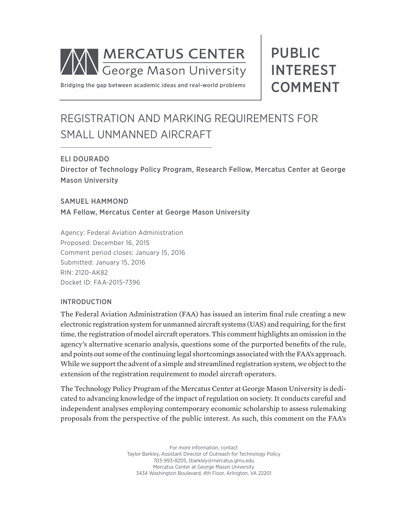

PUBLIC INTEREST COMMENT

Bridging the gap between academic ideas and real-world problems

# REGISTRATION AND MARKING REQUIREMENTS FOR SMALL UNMANNED AIRCRAFT

# ELI DOURADO

Director of Technology Policy Program, Research Fellow, Mercatus Center at George Mason University

### SAMUEL HAMMOND

MA Fellow, Mercatus Center at George Mason University

Agency: Federal Aviation Administration Proposed: December 16, 2015 Comment period closes: January 15, 2016 Submitted: January 15, 2016 RIN: 2120-AK82 Docket ID: FAA-2015-7396

### INTRODUCTION

The Federal Aviation Administration (FAA) has issued an interim final rule creating a new electronic registration system for unmanned aircraft systems (UAS) and requiring, for the first time, the registration of model aircraft operators. This comment highlights an omission in the agency's alternative scenario analysis, questions some of the purported benefits of the rule, and points out some of the continuing legal shortcomings associated with the FAA's approach. While we support the advent of a simple and streamlined registration system, we object to the extension of the registration requirement to model aircraft operators.

The Technology Policy Program of the Mercatus Center at George Mason University is dedicated to advancing knowledge of the impact of regulation on society. It conducts careful and independent analyses employing contemporary economic scholarship to assess rulemaking proposals from the perspective of the public interest. As such, this comment on the FAA's

> For more information, contact Taylor Barkley, Assistant Director of Outreach for Technology Policy 703-993-8205, tbarkley@mercatus.gmu.edu Mercatus Center at George Mason University 3434 Washington Boulevard, 4th Floor, Arlington, VA 22201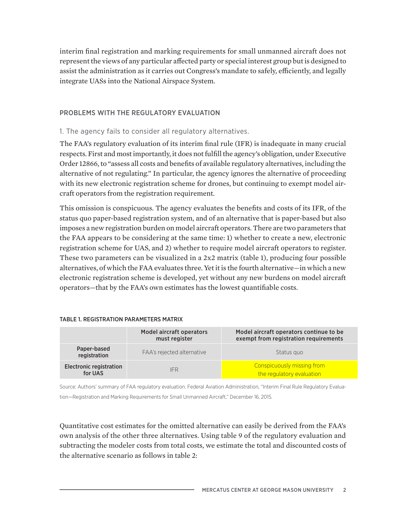interim final registration and marking requirements for small unmanned aircraft does not represent the views of any particular affected party or special interest group but is designed to assist the administration as it carries out Congress's mandate to safely, efficiently, and legally integrate UASs into the National Airspace System.

## PROBLEMS WITH THE REGULATORY EVALUATION

## 1. The agency fails to consider all regulatory alternatives.

The FAA's regulatory evaluation of its interim final rule (IFR) is inadequate in many crucial respects. First and most importantly, it does not fulfill the agency's obligation, under Executive Order 12866, to "assess all costs and benefits of available regulatory alternatives, including the alternative of not regulating." In particular, the agency ignores the alternative of proceeding with its new electronic registration scheme for drones, but continuing to exempt model aircraft operators from the registration requirement.

This omission is conspicuous. The agency evaluates the benefits and costs of its IFR, of the status quo paper-based registration system, and of an alternative that is paper-based but also imposes a new registration burden on model aircraft operators. There are two parameters that the FAA appears to be considering at the same time: 1) whether to create a new, electronic registration scheme for UAS, and 2) whether to require model aircraft operators to register. These two parameters can be visualized in a 2x2 matrix (table 1), producing four possible alternatives, of which the FAA evaluates three. Yet it is the fourth alternative—in which a new electronic registration scheme is developed, yet without any new burdens on model aircraft operators—that by the FAA's own estimates has the lowest quantifiable costs.

### TABLE 1. REGISTRATION PARAMETERS MATRIX

|                                           | Model aircraft operators<br>must register | Model aircraft operators continue to be<br>exempt from registration requirements |  |
|-------------------------------------------|-------------------------------------------|----------------------------------------------------------------------------------|--|
| Paper-based<br>registration               | FAA's rejected alternative                | Status quo                                                                       |  |
| <b>Electronic registration</b><br>for UAS | <b>IFR</b>                                | Conspicuously missing from<br>the regulatory evaluation                          |  |

Source: Authors' summary of FAA regulatory evaluation. Federal Aviation Administration, "Interim Final Rule Regulatory Evaluation—Registration and Marking Requirements for Small Unmanned Aircraft," December 16, 2015.

Quantitative cost estimates for the omitted alternative can easily be derived from the FAA's own analysis of the other three alternatives. Using table 9 of the regulatory evaluation and subtracting the modeler costs from total costs, we estimate the total and discounted costs of the alternative scenario as follows in table 2: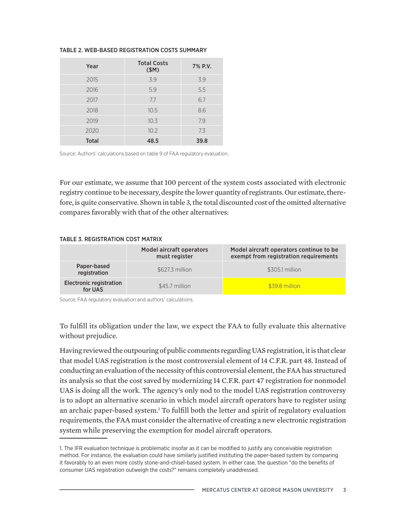#### TABLE 2. WEB-BASED REGISTRATION COSTS SUMMARY

| Year         | <b>Total Costs</b><br>\$M) | 7% P.V. |
|--------------|----------------------------|---------|
| 2015         | 3.9                        | 3.9     |
| 2016         | 5.9                        | 5.5     |
| 2017         | 7.7                        | 6.7     |
| 2018         | 10.5                       | 8.6     |
| 2019         | 10.3                       | 7.9     |
| 2020         | 10.2                       | 7.3     |
| <b>Total</b> | 48.5                       | 39.8    |

Source: Authors' calculations based on table 9 of FAA regulatory evaluation.

For our estimate, we assume that 100 percent of the system costs associated with electronic registry continue to be necessary, despite the lower quantity of registrants. Our estimate, therefore, is quite conservative. Shown in table 3, the total discounted cost of the omitted alternative compares favorably with that of the other alternatives:

#### TABLE 3. REGISTRATION COST MATRIX

|                                           | <b>Model aircraft operators</b><br>must register | Model aircraft operators continue to be<br>exempt from registration requirements |  |
|-------------------------------------------|--------------------------------------------------|----------------------------------------------------------------------------------|--|
| Paper-based<br>registration               | \$627.3 million                                  | \$305.1 million                                                                  |  |
| <b>Electronic registration</b><br>for UAS | \$45.7 million                                   | \$39.8 million                                                                   |  |

Source: FAA regulatory evaluation and authors' calculations.

To fulfill its obligation under the law, we expect the FAA to fully evaluate this alternative without prejudice.

Having reviewed the outpouring of public comments regarding UAS registration, it is that clear that model UAS registration is the most controversial element of 14 C.F.R. part 48. Instead of conducting an evaluation of the necessity of this controversial element, the FAA has structured its analysis so that the cost saved by modernizing 14 C.F.R. part 47 registration for nonmodel UAS is doing all the work. The agency's only nod to the model UAS registration controversy is to adopt an alternative scenario in which model aircraft operators have to register using an archaic paper-based system.<sup>1</sup> To fulfill both the letter and spirit of regulatory evaluation requirements, the FAA must consider the alternative of creating a new electronic registration system while preserving the exemption for model aircraft operators.

<sup>1.</sup> The IFR evaluation technique is problematic insofar as it can be modified to justify any conceivable registration method. For instance, the evaluation could have similarly justified instituting the paper-based system by comparing it favorably to an even more costly stone-and-chisel-based system. In either case, the question "do the benefits of consumer UAS registration outweigh the costs?" remains completely unaddressed.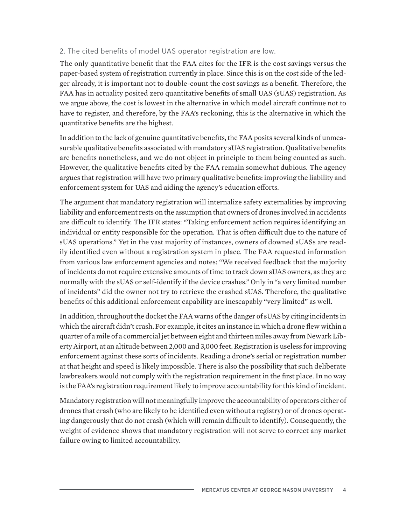# 2. The cited benefits of model UAS operator registration are low.

The only quantitative benefit that the FAA cites for the IFR is the cost savings versus the paper-based system of registration currently in place. Since this is on the cost side of the ledger already, it is important not to double-count the cost savings as a benefit. Therefore, the FAA has in actuality posited zero quantitative benefits of small UAS (sUAS) registration. As we argue above, the cost is lowest in the alternative in which model aircraft continue not to have to register, and therefore, by the FAA's reckoning, this is the alternative in which the quantitative benefits are the highest.

In addition to the lack of genuine quantitative benefits, the FAA posits several kinds of unmeasurable qualitative benefits associated with mandatory sUAS registration. Qualitative benefits are benefits nonetheless, and we do not object in principle to them being counted as such. However, the qualitative benefits cited by the FAA remain somewhat dubious. The agency argues that registration will have two primary qualitative benefits: improving the liability and enforcement system for UAS and aiding the agency's education efforts.

The argument that mandatory registration will internalize safety externalities by improving liability and enforcement rests on the assumption that owners of drones involved in accidents are difficult to identify. The IFR states: "Taking enforcement action requires identifying an individual or entity responsible for the operation. That is often difficult due to the nature of sUAS operations." Yet in the vast majority of instances, owners of downed sUASs are readily identified even without a registration system in place. The FAA requested information from various law enforcement agencies and notes: "We received feedback that the majority of incidents do not require extensive amounts of time to track down sUAS owners, as they are normally with the sUAS or self-identify if the device crashes." Only in "a very limited number of incidents" did the owner not try to retrieve the crashed sUAS. Therefore, the qualitative benefits of this additional enforcement capability are inescapably "very limited" as well.

In addition, throughout the docket the FAA warns of the danger of sUAS by citing incidents in which the aircraft didn't crash. For example, it cites an instance in which a drone flew within a quarter of a mile of a commercial jet between eight and thirteen miles away from Newark Liberty Airport, at an altitude between 2,000 and 3,000 feet. Registration is useless for improving enforcement against these sorts of incidents. Reading a drone's serial or registration number at that height and speed is likely impossible. There is also the possibility that such deliberate lawbreakers would not comply with the registration requirement in the first place. In no way is the FAA's registration requirement likely to improve accountability for this kind of incident.

Mandatory registration will not meaningfully improve the accountability of operators either of drones that crash (who are likely to be identified even without a registry) or of drones operating dangerously that do not crash (which will remain difficult to identify). Consequently, the weight of evidence shows that mandatory registration will not serve to correct any market failure owing to limited accountability.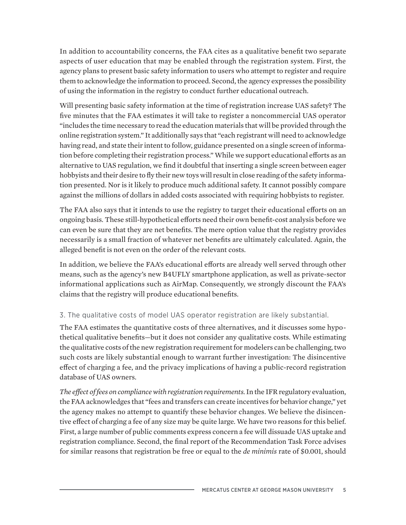In addition to accountability concerns, the FAA cites as a qualitative benefit two separate aspects of user education that may be enabled through the registration system. First, the agency plans to present basic safety information to users who attempt to register and require them to acknowledge the information to proceed. Second, the agency expresses the possibility of using the information in the registry to conduct further educational outreach.

Will presenting basic safety information at the time of registration increase UAS safety? The five minutes that the FAA estimates it will take to register a noncommercial UAS operator "includes the time necessary to read the education materials that will be provided through the online registration system." It additionally says that "each registrant will need to acknowledge having read, and state their intent to follow, guidance presented on a single screen of information before completing their registration process." While we support educational efforts as an alternative to UAS regulation, we find it doubtful that inserting a single screen between eager hobbyists and their desire to fly their new toys will result in close reading of the safety information presented. Nor is it likely to produce much additional safety. It cannot possibly compare against the millions of dollars in added costs associated with requiring hobbyists to register.

The FAA also says that it intends to use the registry to target their educational efforts on an ongoing basis. These still-hypothetical efforts need their own benefit-cost analysis before we can even be sure that they are net benefits. The mere option value that the registry provides necessarily is a small fraction of whatever net benefits are ultimately calculated. Again, the alleged benefit is not even on the order of the relevant costs.

In addition, we believe the FAA's educational efforts are already well served through other means, such as the agency's new B4UFLY smartphone application, as well as private-sector informational applications such as AirMap. Consequently, we strongly discount the FAA's claims that the registry will produce educational benefits.

# 3. The qualitative costs of model UAS operator registration are likely substantial.

The FAA estimates the quantitative costs of three alternatives, and it discusses some hypothetical qualitative benefits—but it does not consider any qualitative costs. While estimating the qualitative costs of the new registration requirement for modelers can be challenging, two such costs are likely substantial enough to warrant further investigation: The disincentive effect of charging a fee, and the privacy implications of having a public-record registration database of UAS owners.

*The effect of fees on compliance with registration requirements.* In the IFR regulatory evaluation, the FAA acknowledges that "fees and transfers can create incentives for behavior change," yet the agency makes no attempt to quantify these behavior changes. We believe the disincentive effect of charging a fee of any size may be quite large. We have two reasons for this belief. First, a large number of public comments express concern a fee will dissuade UAS uptake and registration compliance. Second, the final report of the Recommendation Task Force advises for similar reasons that registration be free or equal to the *de minimis* rate of \$0.001, should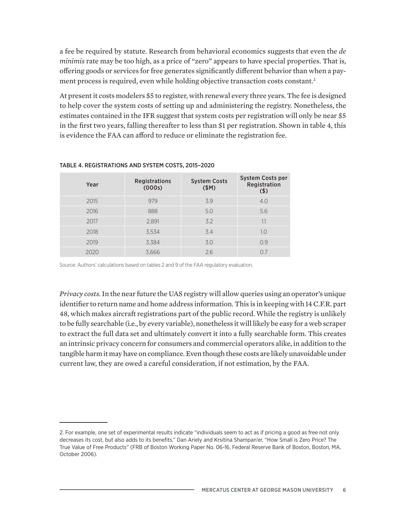a fee be required by statute. Research from behavioral economics suggests that even the *de minimis* rate may be too high, as a price of "zero" appears to have special properties. That is, offering goods or services for free generates significantly different behavior than when a payment process is required, even while holding objective transaction costs constant.<sup>2</sup>

At present it costs modelers \$5 to register, with renewal every three years. The fee is designed to help cover the system costs of setting up and administering the registry. Nonetheless, the estimates contained in the IFR suggest that system costs per registration will only be near \$5 in the first two years, falling thereafter to less than \$1 per registration. Shown in table 4, this is evidence the FAA can afford to reduce or eliminate the registration fee.

| Year | <b>Registrations</b><br>(000s) | <b>System Costs</b><br>\$M) | <b>System Costs per</b><br>Registration<br>$($ \$) |
|------|--------------------------------|-----------------------------|----------------------------------------------------|
| 2015 | 979                            | 3.9                         | 4.0                                                |
| 2016 | 888                            | 5.0                         | 5.6                                                |
| 2017 | 2,891                          | 3.2                         | 1.1                                                |
| 2018 | 3,534                          | 3.4                         | 1.0                                                |
| 2019 | 3,384                          | 3.0                         | 0.9                                                |
| 2020 | 3,666                          | 2.6                         | O <sub>7</sub>                                     |

### TABLE 4. REGISTRATIONS AND SYSTEM COSTS, 2015–2020

Source: Authors' calculations based on tables 2 and 9 of the FAA regulatory evaluation.

*Privacy costs.* In the near future the UAS registry will allow queries using an operator's unique identifier to return name and home address information. This is in keeping with 14 C.F.R. part 48, which makes aircraft registrations part of the public record. While the registry is unlikely to be fully searchable (i.e., by every variable), nonetheless it will likely be easy for a web scraper to extract the full data set and ultimately convert it into a fully searchable form. This creates an intrinsic privacy concern for consumers and commercial operators alike, in addition to the tangible harm it may have on compliance. Even though these costs are likely unavoidable under current law, they are owed a careful consideration, if not estimation, by the FAA.

<sup>2.</sup> For example, one set of experimental results indicate "individuals seem to act as if pricing a good as free not only decreases its cost, but also adds to its benefits." Dan Ariely and Krsitina Shampan'er, "How Small is Zero Price? The True Value of Free Products" (FRB of Boston Working Paper No. 06-16, Federal Reserve Bank of Boston, Boston, MA, October 2006).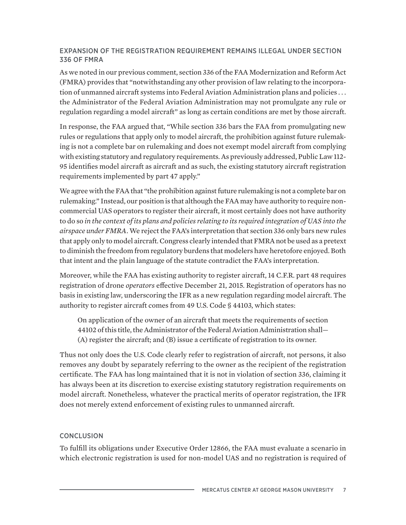# EXPANSION OF THE REGISTRATION REQUIREMENT REMAINS ILLEGAL UNDER SECTION 336 OF FMRA

As we noted in our previous comment, section 336 of the FAA Modernization and Reform Act (FMRA) provides that "notwithstanding any other provision of law relating to the incorporation of unmanned aircraft systems into Federal Aviation Administration plans and policies . . . the Administrator of the Federal Aviation Administration may not promulgate any rule or regulation regarding a model aircraft" as long as certain conditions are met by those aircraft.

In response, the FAA argued that, "While section 336 bars the FAA from promulgating new rules or regulations that apply only to model aircraft, the prohibition against future rulemaking is not a complete bar on rulemaking and does not exempt model aircraft from complying with existing statutory and regulatory requirements. As previously addressed, Public Law 112- 95 identifies model aircraft as aircraft and as such, the existing statutory aircraft registration requirements implemented by part 47 apply."

We agree with the FAA that "the prohibition against future rulemaking is not a complete bar on rulemaking." Instead, our position is that although the FAA may have authority to require noncommercial UAS operators to register their aircraft, it most certainly does not have authority to do so *in the context of its plans and policies relating to its required integration of UAS into the airspace under FMRA*. We reject the FAA's interpretation that section 336 only bars new rules that apply only to model aircraft. Congress clearly intended that FMRA not be used as a pretext to diminish the freedom from regulatory burdens that modelers have heretofore enjoyed. Both that intent and the plain language of the statute contradict the FAA's interpretation.

Moreover, while the FAA has existing authority to register aircraft, 14 C.F.R. part 48 requires registration of drone *operators* effective December 21, 2015. Registration of operators has no basis in existing law, underscoring the IFR as a new regulation regarding model aircraft. The authority to register aircraft comes from 49 U.S. Code § 44103, which states:

On application of the owner of an aircraft that meets the requirements of section 44102 of this title, the Administrator of the Federal Aviation Administration shall— (A) register the aircraft; and (B) issue a certificate of registration to its owner.

Thus not only does the U.S. Code clearly refer to registration of aircraft, not persons, it also removes any doubt by separately referring to the owner as the recipient of the registration certificate. The FAA has long maintained that it is not in violation of section 336, claiming it has always been at its discretion to exercise existing statutory registration requirements on model aircraft. Nonetheless, whatever the practical merits of operator registration, the IFR does not merely extend enforcement of existing rules to unmanned aircraft.

### **CONCLUSION**

To fulfill its obligations under Executive Order 12866, the FAA must evaluate a scenario in which electronic registration is used for non-model UAS and no registration is required of